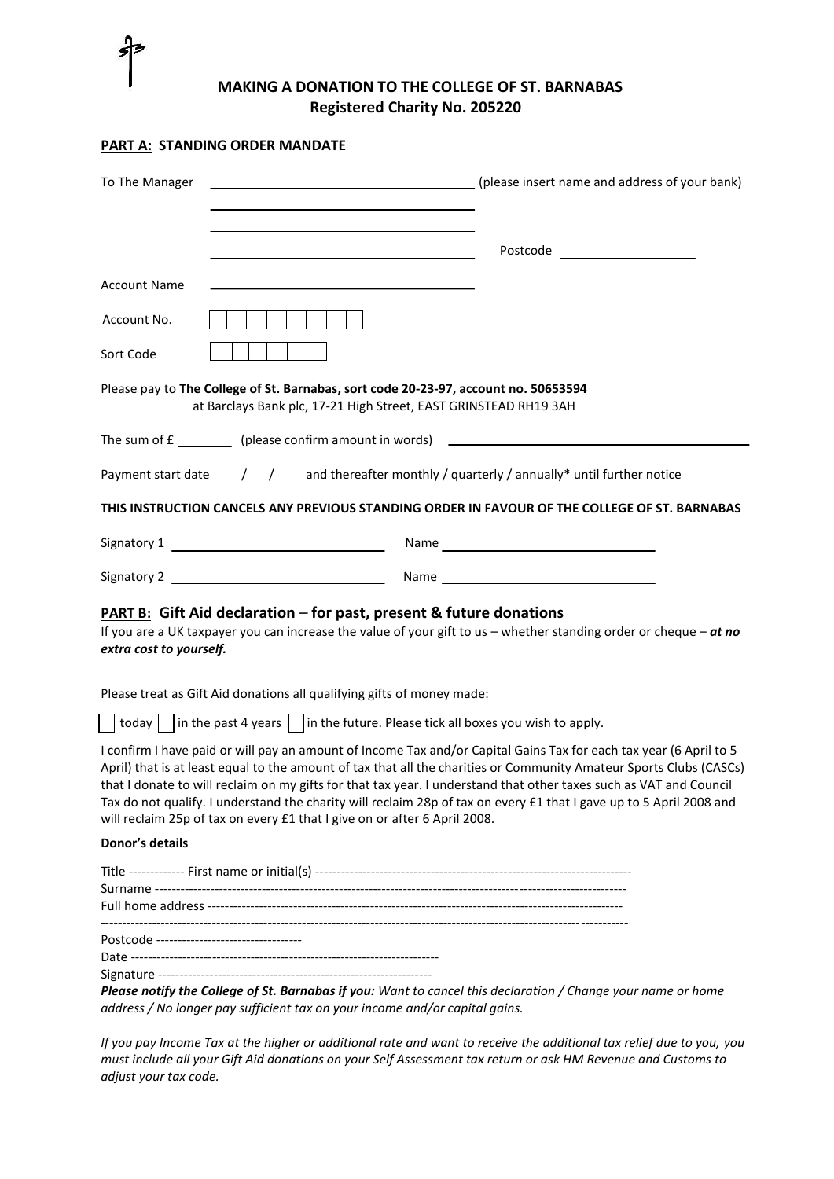

## **MAKING A DONATION TO THE COLLEGE OF ST. BARNABAS Registered Charity No. 205220**

## **PART A: STANDING ORDER MANDATE**

| <u> 1989 - Johann Stoff, deutscher Stoffen und der Stoffen und der Stoffen und der Stoffen und der Stoffen und der</u><br><b>Account Name</b><br>Account No.<br>Sort Code<br>Please pay to The College of St. Barnabas, sort code 20-23-97, account no. 50653594<br>at Barclays Bank plc, 17-21 High Street, EAST GRINSTEAD RH19 3AH<br>Payment start date / / and thereafter monthly / quarterly / annually* until further notice<br>THIS INSTRUCTION CANCELS ANY PREVIOUS STANDING ORDER IN FAVOUR OF THE COLLEGE OF ST. BARNABAS<br><b>PART B:</b> Gift Aid declaration – for past, present & future donations<br>If you are a UK taxpayer you can increase the value of your gift to us - whether standing order or cheque - at no<br>extra cost to yourself.<br>Please treat as Gift Aid donations all qualifying gifts of money made:<br>today     in the past 4 years     in the future. Please tick all boxes you wish to apply.<br>I confirm I have paid or will pay an amount of Income Tax and/or Capital Gains Tax for each tax year (6 April to 5<br>April) that is at least equal to the amount of tax that all the charities or Community Amateur Sports Clubs (CASCs)<br>that I donate to will reclaim on my gifts for that tax year. I understand that other taxes such as VAT and Council<br>Tax do not qualify. I understand the charity will reclaim 28p of tax on every £1 that I gave up to 5 April 2008 and<br>will reclaim 25p of tax on every £1 that I give on or after 6 April 2008.<br>Donor's details<br>Postcode ---------------------------------- | To The Manager | (please insert name and address of your bank) |
|-----------------------------------------------------------------------------------------------------------------------------------------------------------------------------------------------------------------------------------------------------------------------------------------------------------------------------------------------------------------------------------------------------------------------------------------------------------------------------------------------------------------------------------------------------------------------------------------------------------------------------------------------------------------------------------------------------------------------------------------------------------------------------------------------------------------------------------------------------------------------------------------------------------------------------------------------------------------------------------------------------------------------------------------------------------------------------------------------------------------------------------------------------------------------------------------------------------------------------------------------------------------------------------------------------------------------------------------------------------------------------------------------------------------------------------------------------------------------------------------------------------------------------------------------------------------------------------|----------------|-----------------------------------------------|
|                                                                                                                                                                                                                                                                                                                                                                                                                                                                                                                                                                                                                                                                                                                                                                                                                                                                                                                                                                                                                                                                                                                                                                                                                                                                                                                                                                                                                                                                                                                                                                                   |                |                                               |
|                                                                                                                                                                                                                                                                                                                                                                                                                                                                                                                                                                                                                                                                                                                                                                                                                                                                                                                                                                                                                                                                                                                                                                                                                                                                                                                                                                                                                                                                                                                                                                                   |                |                                               |
|                                                                                                                                                                                                                                                                                                                                                                                                                                                                                                                                                                                                                                                                                                                                                                                                                                                                                                                                                                                                                                                                                                                                                                                                                                                                                                                                                                                                                                                                                                                                                                                   |                |                                               |
|                                                                                                                                                                                                                                                                                                                                                                                                                                                                                                                                                                                                                                                                                                                                                                                                                                                                                                                                                                                                                                                                                                                                                                                                                                                                                                                                                                                                                                                                                                                                                                                   |                |                                               |
|                                                                                                                                                                                                                                                                                                                                                                                                                                                                                                                                                                                                                                                                                                                                                                                                                                                                                                                                                                                                                                                                                                                                                                                                                                                                                                                                                                                                                                                                                                                                                                                   |                |                                               |
|                                                                                                                                                                                                                                                                                                                                                                                                                                                                                                                                                                                                                                                                                                                                                                                                                                                                                                                                                                                                                                                                                                                                                                                                                                                                                                                                                                                                                                                                                                                                                                                   |                |                                               |
|                                                                                                                                                                                                                                                                                                                                                                                                                                                                                                                                                                                                                                                                                                                                                                                                                                                                                                                                                                                                                                                                                                                                                                                                                                                                                                                                                                                                                                                                                                                                                                                   |                |                                               |
|                                                                                                                                                                                                                                                                                                                                                                                                                                                                                                                                                                                                                                                                                                                                                                                                                                                                                                                                                                                                                                                                                                                                                                                                                                                                                                                                                                                                                                                                                                                                                                                   |                |                                               |
|                                                                                                                                                                                                                                                                                                                                                                                                                                                                                                                                                                                                                                                                                                                                                                                                                                                                                                                                                                                                                                                                                                                                                                                                                                                                                                                                                                                                                                                                                                                                                                                   |                |                                               |
|                                                                                                                                                                                                                                                                                                                                                                                                                                                                                                                                                                                                                                                                                                                                                                                                                                                                                                                                                                                                                                                                                                                                                                                                                                                                                                                                                                                                                                                                                                                                                                                   |                |                                               |
|                                                                                                                                                                                                                                                                                                                                                                                                                                                                                                                                                                                                                                                                                                                                                                                                                                                                                                                                                                                                                                                                                                                                                                                                                                                                                                                                                                                                                                                                                                                                                                                   |                |                                               |
|                                                                                                                                                                                                                                                                                                                                                                                                                                                                                                                                                                                                                                                                                                                                                                                                                                                                                                                                                                                                                                                                                                                                                                                                                                                                                                                                                                                                                                                                                                                                                                                   |                |                                               |
|                                                                                                                                                                                                                                                                                                                                                                                                                                                                                                                                                                                                                                                                                                                                                                                                                                                                                                                                                                                                                                                                                                                                                                                                                                                                                                                                                                                                                                                                                                                                                                                   |                |                                               |
|                                                                                                                                                                                                                                                                                                                                                                                                                                                                                                                                                                                                                                                                                                                                                                                                                                                                                                                                                                                                                                                                                                                                                                                                                                                                                                                                                                                                                                                                                                                                                                                   |                |                                               |
|                                                                                                                                                                                                                                                                                                                                                                                                                                                                                                                                                                                                                                                                                                                                                                                                                                                                                                                                                                                                                                                                                                                                                                                                                                                                                                                                                                                                                                                                                                                                                                                   |                |                                               |
|                                                                                                                                                                                                                                                                                                                                                                                                                                                                                                                                                                                                                                                                                                                                                                                                                                                                                                                                                                                                                                                                                                                                                                                                                                                                                                                                                                                                                                                                                                                                                                                   |                |                                               |
|                                                                                                                                                                                                                                                                                                                                                                                                                                                                                                                                                                                                                                                                                                                                                                                                                                                                                                                                                                                                                                                                                                                                                                                                                                                                                                                                                                                                                                                                                                                                                                                   |                |                                               |
|                                                                                                                                                                                                                                                                                                                                                                                                                                                                                                                                                                                                                                                                                                                                                                                                                                                                                                                                                                                                                                                                                                                                                                                                                                                                                                                                                                                                                                                                                                                                                                                   |                |                                               |
|                                                                                                                                                                                                                                                                                                                                                                                                                                                                                                                                                                                                                                                                                                                                                                                                                                                                                                                                                                                                                                                                                                                                                                                                                                                                                                                                                                                                                                                                                                                                                                                   |                |                                               |

*If you pay Income Tax at the higher or additional rate and want to receive the additional tax relief due to you, you must include all your Gift Aid donations on your Self Assessment tax return or ask HM Revenue and Customs to adjust your tax code.*